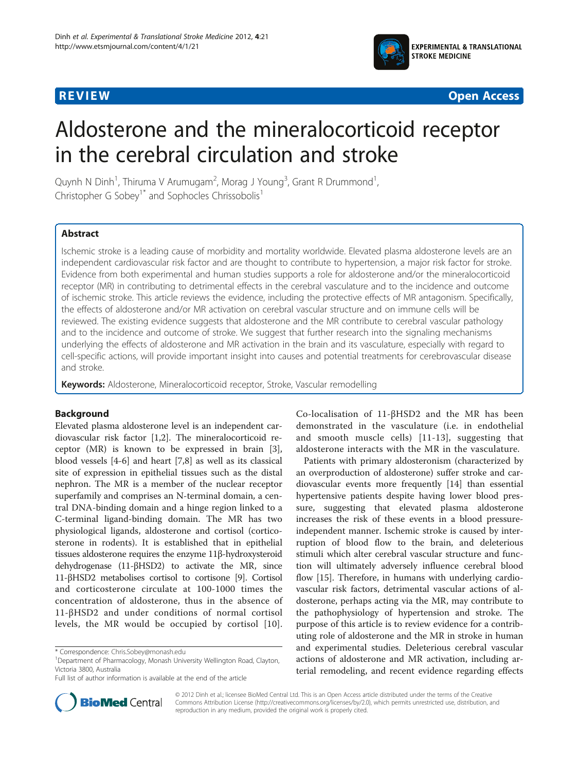



# Aldosterone and the mineralocorticoid receptor in the cerebral circulation and stroke

Quynh N Dinh<sup>1</sup>, Thiruma V Arumugam<sup>2</sup>, Morag J Young<sup>3</sup>, Grant R Drummond<sup>1</sup> , Christopher G Sobey<sup>1\*</sup> and Sophocles Chrissobolis<sup>1</sup>

### Abstract

Ischemic stroke is a leading cause of morbidity and mortality worldwide. Elevated plasma aldosterone levels are an independent cardiovascular risk factor and are thought to contribute to hypertension, a major risk factor for stroke. Evidence from both experimental and human studies supports a role for aldosterone and/or the mineralocorticoid receptor (MR) in contributing to detrimental effects in the cerebral vasculature and to the incidence and outcome of ischemic stroke. This article reviews the evidence, including the protective effects of MR antagonism. Specifically, the effects of aldosterone and/or MR activation on cerebral vascular structure and on immune cells will be reviewed. The existing evidence suggests that aldosterone and the MR contribute to cerebral vascular pathology and to the incidence and outcome of stroke. We suggest that further research into the signaling mechanisms underlying the effects of aldosterone and MR activation in the brain and its vasculature, especially with regard to cell-specific actions, will provide important insight into causes and potential treatments for cerebrovascular disease and stroke.

Keywords: Aldosterone, Mineralocorticoid receptor, Stroke, Vascular remodelling

#### Background

Elevated plasma aldosterone level is an independent cardiovascular risk factor [[1,2\]](#page-4-0). The mineralocorticoid receptor (MR) is known to be expressed in brain [\[3](#page-4-0)], blood vessels [[4-6](#page-4-0)] and heart [[7,8\]](#page-4-0) as well as its classical site of expression in epithelial tissues such as the distal nephron. The MR is a member of the nuclear receptor superfamily and comprises an N-terminal domain, a central DNA-binding domain and a hinge region linked to a C-terminal ligand-binding domain. The MR has two physiological ligands, aldosterone and cortisol (corticosterone in rodents). It is established that in epithelial tissues aldosterone requires the enzyme 11β-hydroxysteroid dehydrogenase (11-βHSD2) to activate the MR, since 11-βHSD2 metabolises cortisol to cortisone [[9](#page-5-0)]. Cortisol and corticosterone circulate at 100-1000 times the concentration of aldosterone, thus in the absence of 11-βHSD2 and under conditions of normal cortisol levels, the MR would be occupied by cortisol [[10](#page-5-0)].



Patients with primary aldosteronism (characterized by an overproduction of aldosterone) suffer stroke and cardiovascular events more frequently [[14\]](#page-5-0) than essential hypertensive patients despite having lower blood pressure, suggesting that elevated plasma aldosterone increases the risk of these events in a blood pressureindependent manner. Ischemic stroke is caused by interruption of blood flow to the brain, and deleterious stimuli which alter cerebral vascular structure and function will ultimately adversely influence cerebral blood flow [[15\]](#page-5-0). Therefore, in humans with underlying cardiovascular risk factors, detrimental vascular actions of aldosterone, perhaps acting via the MR, may contribute to the pathophysiology of hypertension and stroke. The purpose of this article is to review evidence for a contributing role of aldosterone and the MR in stroke in human and experimental studies. Deleterious cerebral vascular actions of aldosterone and MR activation, including arterial remodeling, and recent evidence regarding effects



© 2012 Dinh et al.; licensee BioMed Central Ltd. This is an Open Access article distributed under the terms of the Creative Commons Attribution License [\(http://creativecommons.org/licenses/by/2.0\)](http://creativecommons.org/licenses/by/2.0), which permits unrestricted use, distribution, and reproduction in any medium, provided the original work is properly cited.

<sup>\*</sup> Correspondence: [Chris.Sobey@monash.edu](mailto:Chris.Sobey@monash.edu) <sup>1</sup>

<sup>&</sup>lt;sup>1</sup>Department of Pharmacology, Monash University Wellington Road, Clayton, Victoria 3800, Australia

Full list of author information is available at the end of the article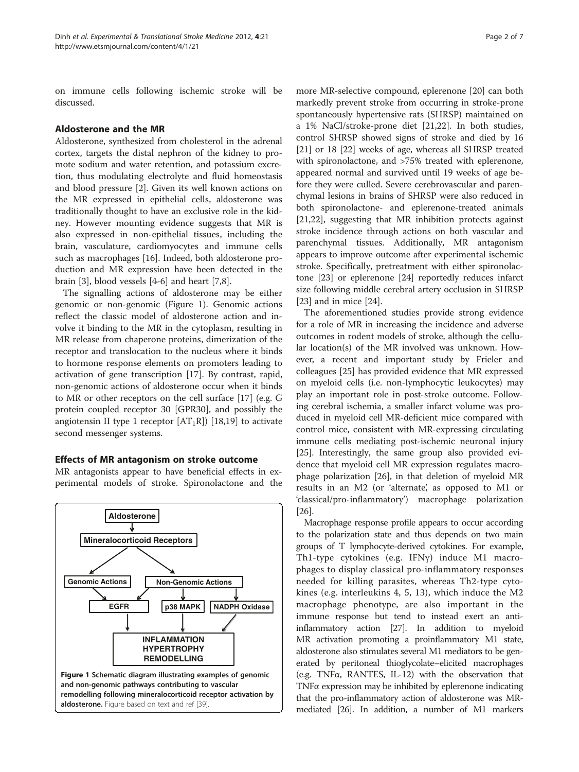on immune cells following ischemic stroke will be discussed.

#### Aldosterone and the MR

Aldosterone, synthesized from cholesterol in the adrenal cortex, targets the distal nephron of the kidney to promote sodium and water retention, and potassium excretion, thus modulating electrolyte and fluid homeostasis and blood pressure [[2](#page-4-0)]. Given its well known actions on the MR expressed in epithelial cells, aldosterone was traditionally thought to have an exclusive role in the kidney. However mounting evidence suggests that MR is also expressed in non-epithelial tissues, including the brain, vasculature, cardiomyocytes and immune cells such as macrophages [[16](#page-5-0)]. Indeed, both aldosterone production and MR expression have been detected in the brain [[3\]](#page-4-0), blood vessels [\[4](#page-4-0)-[6\]](#page-4-0) and heart [\[7,8](#page-4-0)].

The signalling actions of aldosterone may be either genomic or non-genomic (Figure 1). Genomic actions reflect the classic model of aldosterone action and involve it binding to the MR in the cytoplasm, resulting in MR release from chaperone proteins, dimerization of the receptor and translocation to the nucleus where it binds to hormone response elements on promoters leading to activation of gene transcription [[17\]](#page-5-0). By contrast, rapid, non-genomic actions of aldosterone occur when it binds to MR or other receptors on the cell surface [\[17](#page-5-0)] (e.g. G protein coupled receptor 30 [GPR30], and possibly the angiotensin II type 1 receptor  $[AT_1R]$  [\[18,19\]](#page-5-0) to activate second messenger systems.

#### Effects of MR antagonism on stroke outcome

MR antagonists appear to have beneficial effects in experimental models of stroke. Spironolactone and the



more MR-selective compound, eplerenone [\[20\]](#page-5-0) can both markedly prevent stroke from occurring in stroke-prone spontaneously hypertensive rats (SHRSP) maintained on a 1% NaCl/stroke-prone diet [[21](#page-5-0),[22](#page-5-0)]. In both studies, control SHRSP showed signs of stroke and died by 16 [[21\]](#page-5-0) or 18 [\[22\]](#page-5-0) weeks of age, whereas all SHRSP treated with spironolactone, and >75% treated with eplerenone, appeared normal and survived until 19 weeks of age before they were culled. Severe cerebrovascular and parenchymal lesions in brains of SHRSP were also reduced in both spironolactone- and eplerenone-treated animals [[21,22\]](#page-5-0), suggesting that MR inhibition protects against stroke incidence through actions on both vascular and parenchymal tissues. Additionally, MR antagonism appears to improve outcome after experimental ischemic stroke. Specifically, pretreatment with either spironolactone [\[23](#page-5-0)] or eplerenone [\[24\]](#page-5-0) reportedly reduces infarct size following middle cerebral artery occlusion in SHRSP [[23\]](#page-5-0) and in mice [\[24](#page-5-0)].

The aforementioned studies provide strong evidence for a role of MR in increasing the incidence and adverse outcomes in rodent models of stroke, although the cellular location(s) of the MR involved was unknown. However, a recent and important study by Frieler and colleagues [\[25](#page-5-0)] has provided evidence that MR expressed on myeloid cells (i.e. non-lymphocytic leukocytes) may play an important role in post-stroke outcome. Following cerebral ischemia, a smaller infarct volume was produced in myeloid cell MR-deficient mice compared with control mice, consistent with MR-expressing circulating immune cells mediating post-ischemic neuronal injury [[25\]](#page-5-0). Interestingly, the same group also provided evidence that myeloid cell MR expression regulates macrophage polarization [\[26\]](#page-5-0), in that deletion of myeloid MR results in an M2 (or 'alternate', as opposed to M1 or 'classical/pro-inflammatory') macrophage polarization  $|26|$ .

Macrophage response profile appears to occur according to the polarization state and thus depends on two main groups of T lymphocyte-derived cytokines. For example, Th1-type cytokines (e.g. IFNγ) induce M1 macrophages to display classical pro-inflammatory responses needed for killing parasites, whereas Th2-type cytokines (e.g. interleukins 4, 5, 13), which induce the M2 macrophage phenotype, are also important in the immune response but tend to instead exert an antiinflammatory action [\[27\]](#page-5-0). In addition to myeloid MR activation promoting a proinflammatory M1 state, aldosterone also stimulates several M1 mediators to be generated by peritoneal thioglycolate–elicited macrophages (e.g. TNFα, RANTES, IL-12) with the observation that TNFα expression may be inhibited by eplerenone indicating that the pro-inflammatory action of aldosterone was MRmediated [\[26](#page-5-0)]. In addition, a number of M1 markers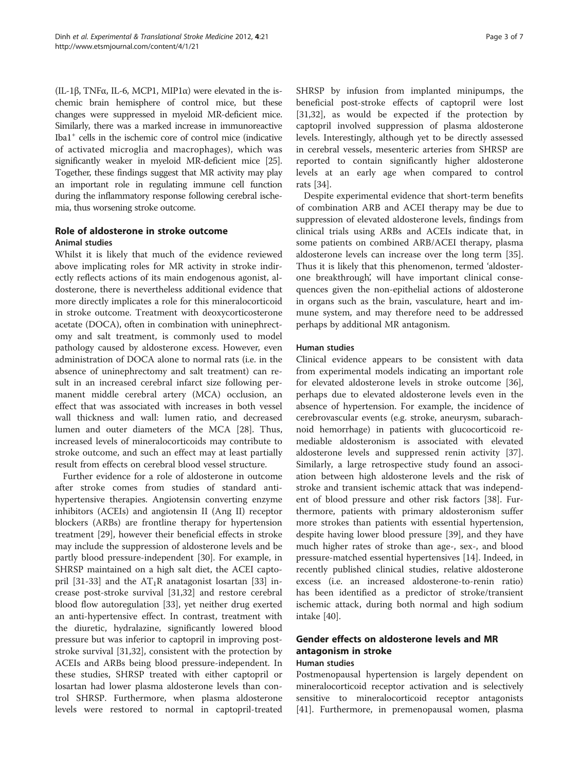(IL-1β, TNFα, IL-6, MCP1, MIP1α) were elevated in the ischemic brain hemisphere of control mice, but these changes were suppressed in myeloid MR-deficient mice. Similarly, there was a marked increase in immunoreactive  $I<sup>+</sup>$  cells in the ischemic core of control mice (indicative of activated microglia and macrophages), which was significantly weaker in myeloid MR-deficient mice [\[25](#page-5-0)]. Together, these findings suggest that MR activity may play an important role in regulating immune cell function during the inflammatory response following cerebral ischemia, thus worsening stroke outcome.

# Role of aldosterone in stroke outcome

## Animal studies

Whilst it is likely that much of the evidence reviewed above implicating roles for MR activity in stroke indirectly reflects actions of its main endogenous agonist, aldosterone, there is nevertheless additional evidence that more directly implicates a role for this mineralocorticoid in stroke outcome. Treatment with deoxycorticosterone acetate (DOCA), often in combination with uninephrectomy and salt treatment, is commonly used to model pathology caused by aldosterone excess. However, even administration of DOCA alone to normal rats (i.e. in the absence of uninephrectomy and salt treatment) can result in an increased cerebral infarct size following permanent middle cerebral artery (MCA) occlusion, an effect that was associated with increases in both vessel wall thickness and wall: lumen ratio, and decreased lumen and outer diameters of the MCA [\[28](#page-5-0)]. Thus, increased levels of mineralocorticoids may contribute to stroke outcome, and such an effect may at least partially result from effects on cerebral blood vessel structure.

Further evidence for a role of aldosterone in outcome after stroke comes from studies of standard antihypertensive therapies. Angiotensin converting enzyme inhibitors (ACEIs) and angiotensin II (Ang II) receptor blockers (ARBs) are frontline therapy for hypertension treatment [\[29](#page-5-0)], however their beneficial effects in stroke may include the suppression of aldosterone levels and be partly blood pressure-independent [\[30](#page-5-0)]. For example, in SHRSP maintained on a high salt diet, the ACEI capto-pril [[31-33](#page-5-0)] and the  $AT_1R$  anatagonist losartan [[33\]](#page-5-0) increase post-stroke survival [[31,32\]](#page-5-0) and restore cerebral blood flow autoregulation [[33\]](#page-5-0), yet neither drug exerted an anti-hypertensive effect. In contrast, treatment with the diuretic, hydralazine, significantly lowered blood pressure but was inferior to captopril in improving poststroke survival [\[31,32\]](#page-5-0), consistent with the protection by ACEIs and ARBs being blood pressure-independent. In these studies, SHRSP treated with either captopril or losartan had lower plasma aldosterone levels than control SHRSP. Furthermore, when plasma aldosterone levels were restored to normal in captopril-treated SHRSP by infusion from implanted minipumps, the beneficial post-stroke effects of captopril were lost [[31,32\]](#page-5-0), as would be expected if the protection by captopril involved suppression of plasma aldosterone levels. Interestingly, although yet to be directly assessed in cerebral vessels, mesenteric arteries from SHRSP are reported to contain significantly higher aldosterone levels at an early age when compared to control rats [[34\]](#page-5-0).

Despite experimental evidence that short-term benefits of combination ARB and ACEI therapy may be due to suppression of elevated aldosterone levels, findings from clinical trials using ARBs and ACEIs indicate that, in some patients on combined ARB/ACEI therapy, plasma aldosterone levels can increase over the long term [\[35](#page-5-0)]. Thus it is likely that this phenomenon, termed 'aldosterone breakthrough', will have important clinical consequences given the non-epithelial actions of aldosterone in organs such as the brain, vasculature, heart and immune system, and may therefore need to be addressed perhaps by additional MR antagonism.

#### Human studies

Clinical evidence appears to be consistent with data from experimental models indicating an important role for elevated aldosterone levels in stroke outcome [\[36](#page-5-0)], perhaps due to elevated aldosterone levels even in the absence of hypertension. For example, the incidence of cerebrovascular events (e.g. stroke, aneurysm, subarachnoid hemorrhage) in patients with glucocorticoid remediable aldosteronism is associated with elevated aldosterone levels and suppressed renin activity [\[37](#page-5-0)]. Similarly, a large retrospective study found an association between high aldosterone levels and the risk of stroke and transient ischemic attack that was independent of blood pressure and other risk factors [\[38](#page-5-0)]. Furthermore, patients with primary aldosteronism suffer more strokes than patients with essential hypertension, despite having lower blood pressure [[39](#page-5-0)], and they have much higher rates of stroke than age-, sex-, and blood pressure-matched essential hypertensives [\[14](#page-5-0)]. Indeed, in recently published clinical studies, relative aldosterone excess (i.e. an increased aldosterone-to-renin ratio) has been identified as a predictor of stroke/transient ischemic attack, during both normal and high sodium intake [[40](#page-5-0)].

# Gender effects on aldosterone levels and MR antagonism in stroke

#### Human studies

Postmenopausal hypertension is largely dependent on mineralocorticoid receptor activation and is selectively sensitive to mineralocorticoid receptor antagonists [[41\]](#page-5-0). Furthermore, in premenopausal women, plasma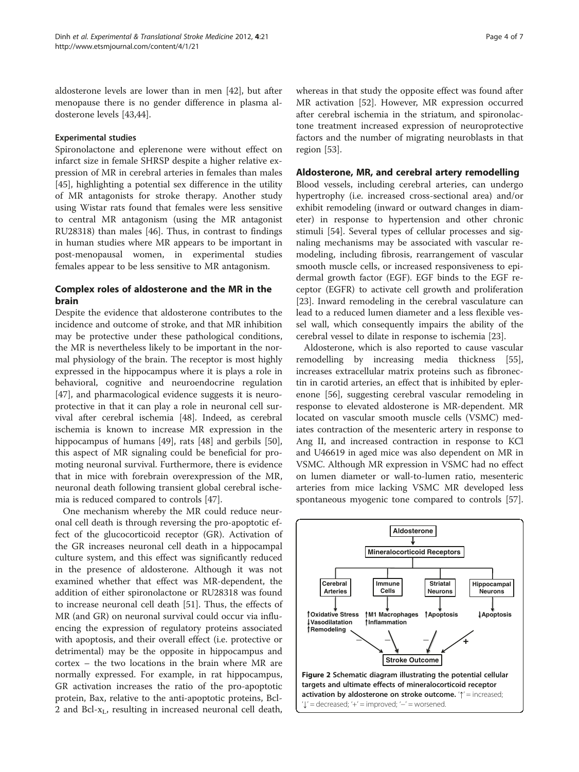<span id="page-3-0"></span>aldosterone levels are lower than in men [[42](#page-5-0)], but after menopause there is no gender difference in plasma aldosterone levels [\[43,44](#page-5-0)].

#### Experimental studies

Spironolactone and eplerenone were without effect on infarct size in female SHRSP despite a higher relative expression of MR in cerebral arteries in females than males [[45\]](#page-5-0), highlighting a potential sex difference in the utility of MR antagonists for stroke therapy. Another study using Wistar rats found that females were less sensitive to central MR antagonism (using the MR antagonist RU28318) than males [[46\]](#page-5-0). Thus, in contrast to findings in human studies where MR appears to be important in post-menopausal women, in experimental studies females appear to be less sensitive to MR antagonism.

#### Complex roles of aldosterone and the MR in the brain

Despite the evidence that aldosterone contributes to the incidence and outcome of stroke, and that MR inhibition may be protective under these pathological conditions, the MR is nevertheless likely to be important in the normal physiology of the brain. The receptor is most highly expressed in the hippocampus where it is plays a role in behavioral, cognitive and neuroendocrine regulation [[47\]](#page-5-0), and pharmacological evidence suggests it is neuroprotective in that it can play a role in neuronal cell survival after cerebral ischemia [[48](#page-5-0)]. Indeed, as cerebral ischemia is known to increase MR expression in the hippocampus of humans [[49\]](#page-5-0), rats [[48](#page-5-0)] and gerbils [\[50](#page-5-0)], this aspect of MR signaling could be beneficial for promoting neuronal survival. Furthermore, there is evidence that in mice with forebrain overexpression of the MR, neuronal death following transient global cerebral ischemia is reduced compared to controls [[47\]](#page-5-0).

One mechanism whereby the MR could reduce neuronal cell death is through reversing the pro-apoptotic effect of the glucocorticoid receptor (GR). Activation of the GR increases neuronal cell death in a hippocampal culture system, and this effect was significantly reduced in the presence of aldosterone. Although it was not examined whether that effect was MR-dependent, the addition of either spironolactone or RU28318 was found to increase neuronal cell death [\[51](#page-5-0)]. Thus, the effects of MR (and GR) on neuronal survival could occur via influencing the expression of regulatory proteins associated with apoptosis, and their overall effect (i.e. protective or detrimental) may be the opposite in hippocampus and cortex – the two locations in the brain where MR are normally expressed. For example, in rat hippocampus, GR activation increases the ratio of the pro-apoptotic protein, Bax, relative to the anti-apoptotic proteins, Bcl-2 and Bcl-x<sub>L</sub>, resulting in increased neuronal cell death,

whereas in that study the opposite effect was found after MR activation [\[52\]](#page-5-0). However, MR expression occurred after cerebral ischemia in the striatum, and spironolactone treatment increased expression of neuroprotective factors and the number of migrating neuroblasts in that region [[53\]](#page-5-0).

#### Aldosterone, MR, and cerebral artery remodelling

Blood vessels, including cerebral arteries, can undergo hypertrophy (i.e. increased cross-sectional area) and/or exhibit remodeling (inward or outward changes in diameter) in response to hypertension and other chronic stimuli [[54\]](#page-6-0). Several types of cellular processes and signaling mechanisms may be associated with vascular remodeling, including fibrosis, rearrangement of vascular smooth muscle cells, or increased responsiveness to epidermal growth factor (EGF). EGF binds to the EGF receptor (EGFR) to activate cell growth and proliferation [[23\]](#page-5-0). Inward remodeling in the cerebral vasculature can lead to a reduced lumen diameter and a less flexible vessel wall, which consequently impairs the ability of the cerebral vessel to dilate in response to ischemia [[23\]](#page-5-0).

Aldosterone, which is also reported to cause vascular remodelling by increasing media thickness [\[55](#page-6-0)], increases extracellular matrix proteins such as fibronectin in carotid arteries, an effect that is inhibited by eplerenone [\[56](#page-6-0)], suggesting cerebral vascular remodeling in response to elevated aldosterone is MR-dependent. MR located on vascular smooth muscle cells (VSMC) mediates contraction of the mesenteric artery in response to Ang II, and increased contraction in response to KCl and U46619 in aged mice was also dependent on MR in VSMC. Although MR expression in VSMC had no effect on lumen diameter or wall-to-lumen ratio, mesenteric arteries from mice lacking VSMC MR developed less spontaneous myogenic tone compared to controls [\[57](#page-6-0)].

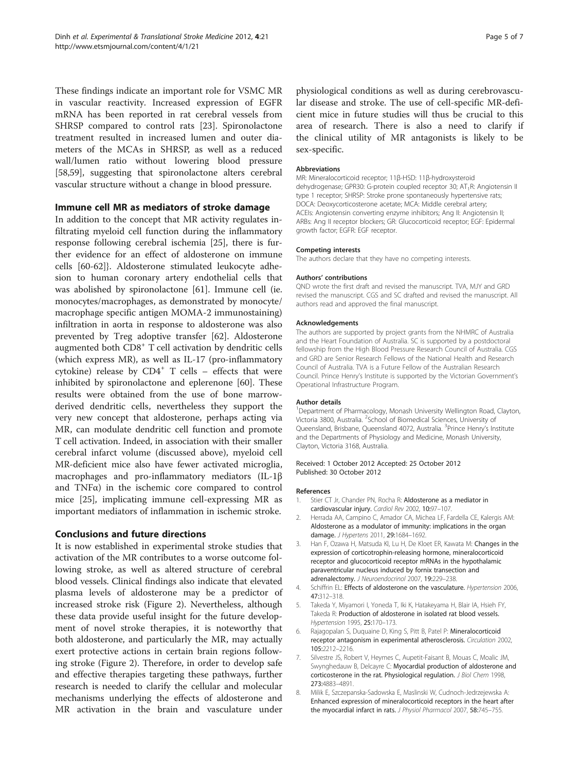<span id="page-4-0"></span>These findings indicate an important role for VSMC MR in vascular reactivity. Increased expression of EGFR mRNA has been reported in rat cerebral vessels from SHRSP compared to control rats [[23](#page-5-0)]. Spironolactone treatment resulted in increased lumen and outer diameters of the MCAs in SHRSP, as well as a reduced wall/lumen ratio without lowering blood pressure [[58,59\]](#page-6-0), suggesting that spironolactone alters cerebral vascular structure without a change in blood pressure.

#### Immune cell MR as mediators of stroke damage

In addition to the concept that MR activity regulates infiltrating myeloid cell function during the inflammatory response following cerebral ischemia [\[25](#page-5-0)], there is further evidence for an effect of aldosterone on immune cells [[60-62](#page-6-0)]}. Aldosterone stimulated leukocyte adhesion to human coronary artery endothelial cells that was abolished by spironolactone [\[61\]](#page-6-0). Immune cell (ie. monocytes/macrophages, as demonstrated by monocyte/ macrophage specific antigen MOMA-2 immunostaining) infiltration in aorta in response to aldosterone was also prevented by Treg adoptive transfer [[62](#page-6-0)]. Aldosterone augmented both CD8<sup>+</sup> T cell activation by dendritic cells (which express MR), as well as IL-17 (pro-inflammatory cytokine) release by  $CD4^+$  T cells - effects that were inhibited by spironolactone and eplerenone [[60\]](#page-6-0). These results were obtained from the use of bone marrowderived dendritic cells, nevertheless they support the very new concept that aldosterone, perhaps acting via MR, can modulate dendritic cell function and promote T cell activation. Indeed, in association with their smaller cerebral infarct volume (discussed above), myeloid cell MR-deficient mice also have fewer activated microglia, macrophages and pro-inflammatory mediators (IL-1β and TNFα) in the ischemic core compared to control mice [[25\]](#page-5-0), implicating immune cell-expressing MR as important mediators of inflammation in ischemic stroke.

#### Conclusions and future directions

It is now established in experimental stroke studies that activation of the MR contributes to a worse outcome following stroke, as well as altered structure of cerebral blood vessels. Clinical findings also indicate that elevated plasma levels of aldosterone may be a predictor of increased stroke risk (Figure [2](#page-3-0)). Nevertheless, although these data provide useful insight for the future development of novel stroke therapies, it is noteworthy that both aldosterone, and particularly the MR, may actually exert protective actions in certain brain regions following stroke (Figure [2](#page-3-0)). Therefore, in order to develop safe and effective therapies targeting these pathways, further research is needed to clarify the cellular and molecular mechanisms underlying the effects of aldosterone and MR activation in the brain and vasculature under

physiological conditions as well as during cerebrovascular disease and stroke. The use of cell-specific MR-deficient mice in future studies will thus be crucial to this area of research. There is also a need to clarify if the clinical utility of MR antagonists is likely to be sex-specific.

#### Abbreviations

MR: Mineralocorticoid receptor; 11β-HSD: 11β-hydroxysteroid dehydrogenase; GPR30: G-protein coupled receptor 30; AT<sub>1</sub>R: Angiotensin II type 1 receptor; SHRSP: Stroke prone spontaneously hypertensive rats; DOCA: Deoxycorticosterone acetate; MCA: Middle cerebral artery; ACEIs: Angiotensin converting enzyme inhibitors; Ang II: Angiotensin II; ARBs: Ang II receptor blockers; GR: Glucocorticoid receptor; EGF: Epidermal growth factor; EGFR: EGF receptor.

#### Competing interests

The authors declare that they have no competing interests.

#### Authors' contributions

QND wrote the first draft and revised the manuscript. TVA, MJY and GRD revised the manuscript. CGS and SC drafted and revised the manuscript. All authors read and approved the final manuscript.

#### Acknowledgements

The authors are supported by project grants from the NHMRC of Australia and the Heart Foundation of Australia. SC is supported by a postdoctoral fellowship from the High Blood Pressure Research Council of Australia. CGS and GRD are Senior Research Fellows of the National Health and Research Council of Australia. TVA is a Future Fellow of the Australian Research Council. Prince Henry's Institute is supported by the Victorian Government's Operational Infrastructure Program.

#### Author details

<sup>1</sup>Department of Pharmacology, Monash University Wellington Road, Clayton, Victoria 3800, Australia. <sup>2</sup>School of Biomedical Sciences, University of Queensland, Brisbane, Queensland 4072, Australia. <sup>3</sup>Prince Henry's Institute and the Departments of Physiology and Medicine, Monash University, Clayton, Victoria 3168, Australia.

#### Received: 1 October 2012 Accepted: 25 October 2012 Published: 30 October 2012

#### References

- 1. Stier CT Jr, Chander PN, Rocha R: Aldosterone as a mediator in cardiovascular injury. Cardiol Rev 2002, 10:97–107.
- 2. Herrada AA, Campino C, Amador CA, Michea LF, Fardella CE, Kalergis AM: Aldosterone as a modulator of immunity: implications in the organ damage. J Hypertens 2011, 29:1684–1692.
- 3. Han F, Ozawa H, Matsuda KI, Lu H, De Kloet ER, Kawata M: Changes in the expression of corticotrophin-releasing hormone, mineralocorticoid receptor and glucocorticoid receptor mRNAs in the hypothalamic paraventricular nucleus induced by fornix transection and adrenalectomy. J Neuroendocrinol 2007, 19:229–238.
- 4. Schiffrin EL: Effects of aldosterone on the vasculature. Hypertension 2006, 47:312–318.
- 5. Takeda Y, Miyamori I, Yoneda T, Iki K, Hatakeyama H, Blair IA, Hsieh FY, Takeda R: Production of aldosterone in isolated rat blood vessels. Hypertension 1995, 25:170–173.
- 6. Rajagopalan S, Duquaine D, King S, Pitt B, Patel P: Mineralocorticoid receptor antagonism in experimental atherosclerosis. Circulation 2002, 105:2212–2216.
- Silvestre JS, Robert V, Heymes C, Aupetit-Faisant B, Mouas C, Moalic JM, Swynghedauw B, Delcayre C: Myocardial production of aldosterone and corticosterone in the rat. Physiological regulation. J Biol Chem 1998, 273:4883–4891.
- 8. Milik E, Szczepanska-Sadowska E, Maslinski W, Cudnoch-Jedrzejewska A: Enhanced expression of mineralocorticoid receptors in the heart after the myocardial infarct in rats. J Physiol Pharmacol 2007, 58:745-755.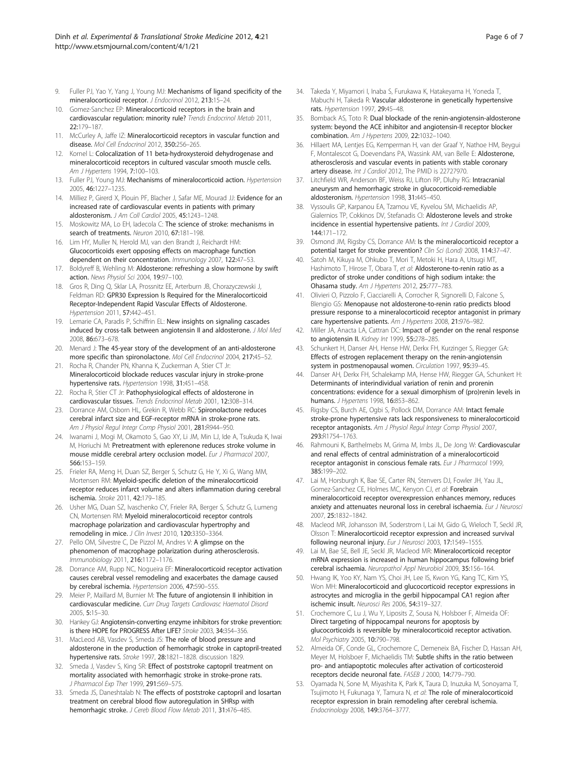- <span id="page-5-0"></span>9. Fuller PJ, Yao Y, Yang J, Young MJ: Mechanisms of ligand specificity of the mineralocorticoid receptor. J Endocrinol 2012, 213:15–24.
- 10. Gomez-Sanchez EP: Mineralocorticoid receptors in the brain and cardiovascular regulation: minority rule? Trends Endocrinol Metab 2011, 22:179–187.
- 11. McCurley A, Jaffe IZ: Mineralocorticoid receptors in vascular function and disease. Mol Cell Endocrinol 2012, 350:256–265.
- 12. Kornel L: Colocalization of 11 beta-hydroxysteroid dehydrogenase and mineralocorticoid receptors in cultured vascular smooth muscle cells. Am J Hypertens 1994, 7:100–103.
- 13. Fuller PJ, Young MJ: Mechanisms of mineralocorticoid action. Hypertension 2005, 46:1227–1235.
- 14. Milliez P, Girerd X, Plouin PF, Blacher J, Safar ME, Mourad JJ: Evidence for an increased rate of cardiovascular events in patients with primary aldosteronism. J Am Coll Cardiol 2005, 45:1243–1248.
- 15. Moskowitz MA, Lo EH, Iadecola C: The science of stroke: mechanisms in search of treatments. Neuron 2010, 67:181-198.
- 16. Lim HY, Muller N, Herold MJ, van den Brandt J, Reichardt HM: Glucocorticoids exert opposing effects on macrophage function dependent on their concentration. Immunology 2007, 122:47–53.
- 17. Boldyreff B, Wehling M: Aldosterone: refreshing a slow hormone by swift action. News Physiol Sci 2004, 19:97–100.
- 18. Gros R, Ding Q, Sklar LA, Prossnitz EE, Arterburn JB, Chorazyczewski J, Feldman RD: GPR30 Expression Is Required for the Mineralocorticoid Receptor-Independent Rapid Vascular Effects of Aldosterone. Hypertension 2011, 57:442–451.
- 19. Lemarie CA, Paradis P, Schiffrin EL: New insights on signaling cascades induced by cross-talk between angiotensin II and aldosterone. J Mol Med 2008, 86:673–678.
- 20. Menard J: The 45-year story of the development of an anti-aldosterone more specific than spironolactone. Mol Cell Endocrinol 2004, 217:45–52.
- 21. Rocha R, Chander PN, Khanna K, Zuckerman A, Stier CT Jr: Mineralocorticoid blockade reduces vascular injury in stroke-prone hypertensive rats. Hypertension 1998, 31:451–458.
- 22. Rocha R, Stier CT Jr: Pathophysiological effects of aldosterone in cardiovascular tissues. Trends Endocrinol Metab 2001, 12:308–314.
- 23. Dorrance AM, Osborn HL, Grekin R, Webb RC: Spironolactone reduces cerebral infarct size and EGF-receptor mRNA in stroke-prone rats. Am J Physiol Regul Integr Comp Physiol 2001, 281:R944–950.
- 24. Iwanami J, Mogi M, Okamoto S, Gao XY, Li JM, Min LJ, Ide A, Tsukuda K, Iwai M, Horiuchi M: Pretreatment with eplerenone reduces stroke volume in mouse middle cerebral artery occlusion model. Eur J Pharmacol 2007, 566:153–159.
- 25. Frieler RA, Meng H, Duan SZ, Berger S, Schutz G, He Y, Xi G, Wang MM, Mortensen RM: Myeloid-specific deletion of the mineralocorticoid receptor reduces infarct volume and alters inflammation during cerebral ischemia. Stroke 2011, 42:179–185.
- 26. Usher MG, Duan SZ, Ivaschenko CY, Frieler RA, Berger S, Schutz G, Lumeng CN, Mortensen RM: Myeloid mineralocorticoid receptor controls macrophage polarization and cardiovascular hypertrophy and remodeling in mice. J Clin Invest 2010, 120:3350–3364.
- 27. Pello OM, Silvestre C, De Pizzol M, Andres V: A glimpse on the phenomenon of macrophage polarization during atherosclerosis. Immunobiology 2011, 216:1172–1176.
- 28. Dorrance AM, Rupp NC, Nogueira EF: Mineralocorticoid receptor activation causes cerebral vessel remodeling and exacerbates the damage caused by cerebral ischemia. Hypertension 2006, 47:590–555.
- 29. Meier P, Maillard M, Burnier M: The future of angiotensin II inhibition in cardiovascular medicine. Curr Drug Targets Cardiovasc Haematol Disord 2005, 5:15–30.
- 30. Hankey GJ: Angiotensin-converting enzyme inhibitors for stroke prevention: is there HOPE for PROGRESS After LIFE? Stroke 2003, 34:354–356.
- 31. MacLeod AB, Vasdev S, Smeda JS: The role of blood pressure and aldosterone in the production of hemorrhagic stroke in captopril-treated hypertensive rats. Stroke 1997, 28:1821–1828. discussion 1829.
- 32. Smeda J, Vasdev S, King SR: Effect of poststroke captopril treatment on mortality associated with hemorrhagic stroke in stroke-prone rats. J Pharmacol Exp Ther 1999, 291:569–575.
- 33. Smeda JS, Daneshtalab N: The effects of poststroke captopril and losartan treatment on cerebral blood flow autoregulation in SHRsp with hemorrhagic stroke. J Cereb Blood Flow Metab 2011, 31:476-485.
- 34. Takeda Y, Miyamori I, Inaba S, Furukawa K, Hatakeyama H, Yoneda T, Mabuchi H, Takeda R: Vascular aldosterone in genetically hypertensive rats. Hypertension 1997, 29:45–48.
- 35. Bomback AS, Toto R: Dual blockade of the renin-angiotensin-aldosterone system: beyond the ACE inhibitor and angiotensin-II receptor blocker combination. Am J Hypertens 2009, 22:1032–1040.
- 36. Hillaert MA, Lentjes EG, Kemperman H, van der Graaf Y, Nathoe HM, Beygui F, Montalescot G, Doevendans PA, Wassink AM, van Belle E: Aldosterone, atherosclerosis and vascular events in patients with stable coronary artery disease. Int J Cardiol 2012, The PMID is 22727970.
- 37. Litchfield WR, Anderson BF, Weiss RJ, Lifton RP, Dluhy RG: Intracranial aneurysm and hemorrhagic stroke in glucocorticoid-remediable aldosteronism. Hypertension 1998, 31:445–450.
- 38. Vyssoulis GP, Karpanou EA, Tzamou VE, Kyvelou SM, Michaelidis AP, Gialernios TP, Cokkinos DV, Stefanadis CI: Aldosterone levels and stroke incidence in essential hypertensive patients. Int J Cardiol 2009, 144:171–172.
- Osmond JM, Rigsby CS, Dorrance AM: Is the mineralocorticoid receptor a potential target for stroke prevention? Clin Sci (Lond) 2008, 114:37–47.
- 40. Satoh M, Kikuya M, Ohkubo T, Mori T, Metoki H, Hara A, Utsugi MT, Hashimoto T, Hirose T, Obara T, et al: Aldosterone-to-renin ratio as a predictor of stroke under conditions of high sodium intake: the Ohasama study. Am J Hypertens 2012, 25:777–783.
- 41. Olivieri O, Pizzolo F, Ciacciarelli A, Corrocher R, Signorelli D, Falcone S, Blengio GS: Menopause not aldosterone-to-renin ratio predicts blood pressure response to a mineralocorticoid receptor antagonist in primary care hypertensive patients. Am J Hypertens 2008, 21:976–982.
- 42. Miller JA, Anacta LA, Cattran DC: Impact of gender on the renal response to angiotensin II. Kidney Int 1999, 55:278-285.
- 43. Schunkert H, Danser AH, Hense HW, Derkx FH, Kurzinger S, Riegger GA: Effects of estrogen replacement therapy on the renin-angiotensin system in postmenopausal women. Circulation 1997, 95:39–45.
- 44. Danser AH, Derkx FH, Schalekamp MA, Hense HW, Riegger GA, Schunkert H: Determinants of interindividual variation of renin and prorenin concentrations: evidence for a sexual dimorphism of (pro)renin levels in humans. *J Hypertens* 1998, 16:853-862.
- 45. Rigsby CS, Burch AE, Ogbi S, Pollock DM, Dorrance AM: Intact female stroke-prone hypertensive rats lack responsiveness to mineralocorticoid receptor antagonists. Am J Physiol Regul Integr Comp Physiol 2007, 293:R1754–1763.
- 46. Rahmouni K, Barthelmebs M, Grima M, Imbs JL, De Jong W: Cardiovascular and renal effects of central administration of a mineralocorticoid receptor antagonist in conscious female rats. Eur J Pharmacol 1999, 385:199–202.
- 47. Lai M, Horsburgh K, Bae SE, Carter RN, Stenvers DJ, Fowler JH, Yau JL, Gomez-Sanchez CE, Holmes MC, Kenyon CJ, et al: Forebrain mineralocorticoid receptor overexpression enhances memory, reduces anxiety and attenuates neuronal loss in cerebral ischaemia. Eur J Neurosci 2007, 25:1832–1842.
- 48. Macleod MR, Johansson IM, Soderstrom I, Lai M, Gido G, Wieloch T, Seckl JR, Olsson T: Mineralocorticoid receptor expression and increased survival following neuronal injury. Eur J Neurosci 2003, 17:1549–1555.
- 49. Lai M, Bae SE, Bell JE, Seckl JR, Macleod MR: Mineralocorticoid receptor mRNA expression is increased in human hippocampus following brief cerebral ischaemia. Neuropathol Appl Neurobiol 2009, 35:156–164.
- 50. Hwang IK, Yoo KY, Nam YS, Choi JH, Lee IS, Kwon YG, Kang TC, Kim YS, Won MH: Mineralocorticoid and glucocorticoid receptor expressions in astrocytes and microglia in the gerbil hippocampal CA1 region after ischemic insult. Neurosci Res 2006, 54:319–327.
- 51. Crochemore C, Lu J, Wu Y, Liposits Z, Sousa N, Holsboer F, Almeida OF: Direct targeting of hippocampal neurons for apoptosis by glucocorticoids is reversible by mineralocorticoid receptor activation. Mol Psychiatry 2005, 10:790–798.
- 52. Almeida OF, Conde GL, Crochemore C, Demeneix BA, Fischer D, Hassan AH, Meyer M, Holsboer F, Michaelidis TM: Subtle shifts in the ratio between pro- and antiapoptotic molecules after activation of corticosteroid receptors decide neuronal fate. FASEB J 2000, 14:779–790.
- 53. Oyamada N, Sone M, Miyashita K, Park K, Taura D, Inuzuka M, Sonoyama T, Tsujimoto H, Fukunaga Y, Tamura N, et al: The role of mineralocorticoid receptor expression in brain remodeling after cerebral ischemia. Endocrinology 2008, 149:3764–3777.